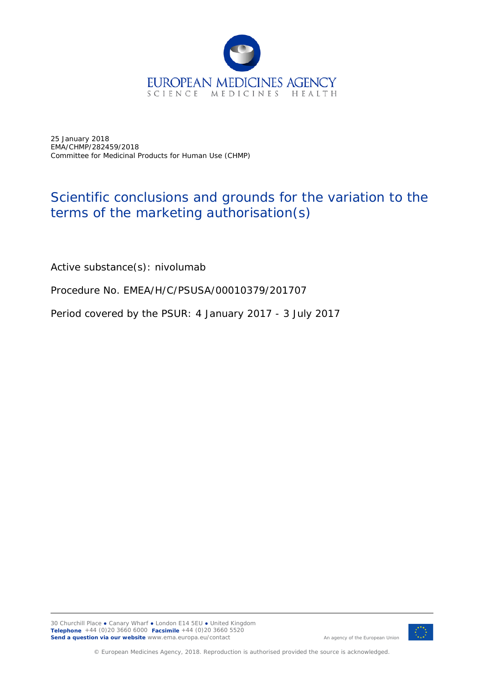

25 January 2018 EMA/CHMP/282459/2018 Committee for Medicinal Products for Human Use (CHMP)

## Scientific conclusions and grounds for the variation to the terms of the marketing authorisation(s)

Active substance(s): nivolumab

Procedure No. EMEA/H/C/PSUSA/00010379/201707

Period covered by the PSUR: 4 January 2017 - 3 July 2017



An agency of the European Union